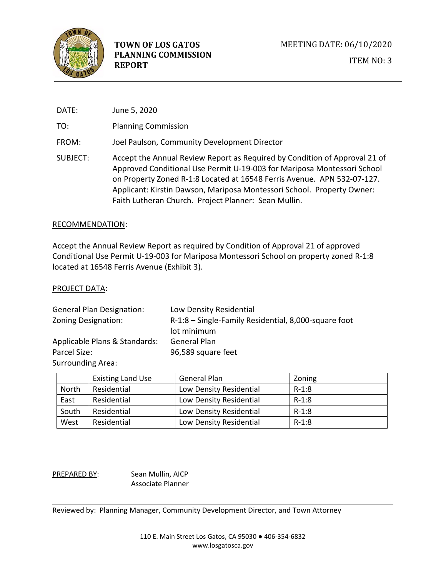

| DATE:    | June 5, 2020                                                                                                                                                                                                                                                                                                                                                       |
|----------|--------------------------------------------------------------------------------------------------------------------------------------------------------------------------------------------------------------------------------------------------------------------------------------------------------------------------------------------------------------------|
| TO:      | <b>Planning Commission</b>                                                                                                                                                                                                                                                                                                                                         |
| FROM:    | Joel Paulson, Community Development Director                                                                                                                                                                                                                                                                                                                       |
| SUBJECT: | Accept the Annual Review Report as Required by Condition of Approval 21 of<br>Approved Conditional Use Permit U-19-003 for Mariposa Montessori School<br>on Property Zoned R-1:8 Located at 16548 Ferris Avenue. APN 532-07-127.<br>Applicant: Kirstin Dawson, Mariposa Montessori School. Property Owner:<br>Faith Lutheran Church. Project Planner: Sean Mullin. |

#### RECOMMENDATION:

Accept the Annual Review Report as required by Condition of Approval 21 of approved Conditional Use Permit U-19-003 for Mariposa Montessori School on property zoned R-1:8 located at 16548 Ferris Avenue (Exhibit 3).

#### PROJECT DATA:

| <b>General Plan Designation:</b> | Low Density Residential                              |  |
|----------------------------------|------------------------------------------------------|--|
| Zoning Designation:              | R-1:8 - Single-Family Residential, 8,000-square foot |  |
|                                  | lot minimum                                          |  |
| Applicable Plans & Standards:    | General Plan                                         |  |
| Parcel Size:                     | 96,589 square feet                                   |  |
| <b>Surrounding Area:</b>         |                                                      |  |

|       | <b>Existing Land Use</b> | <b>General Plan</b>     | Zoning  |
|-------|--------------------------|-------------------------|---------|
| North | Residential              | Low Density Residential | $R-1:8$ |
| East  | Residential              | Low Density Residential | $R-1:8$ |
| South | Residential              | Low Density Residential | $R-1:8$ |
| West  | Residential              | Low Density Residential | $R-1:8$ |

PREPARED BY: Sean Mullin, AICP Associate Planner

Reviewed by: Planning Manager, Community Development Director, and Town Attorney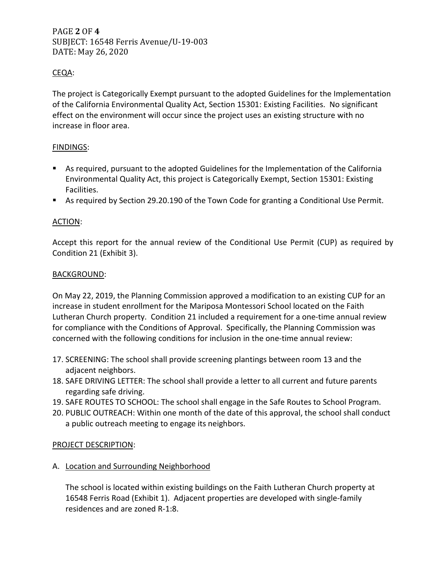PAGE **2** OF **4** SUBJECT: 16548 Ferris Avenue/U-19-003 DATE: May 26, 2020

# CEQA:

The project is Categorically Exempt pursuant to the adopted Guidelines for the Implementation of the California Environmental Quality Act, Section 15301: Existing Facilities. No significant effect on the environment will occur since the project uses an existing structure with no increase in floor area.

# FINDINGS:

- As required, pursuant to the adopted Guidelines for the Implementation of the California Environmental Quality Act, this project is Categorically Exempt, Section 15301: Existing Facilities.
- As required by Section 29.20.190 of the Town Code for granting a Conditional Use Permit.

# ACTION:

Accept this report for the annual review of the Conditional Use Permit (CUP) as required by Condition 21 (Exhibit 3).

#### BACKGROUND:

On May 22, 2019, the Planning Commission approved a modification to an existing CUP for an increase in student enrollment for the Mariposa Montessori School located on the Faith Lutheran Church property. Condition 21 included a requirement for a one-time annual review for compliance with the Conditions of Approval. Specifically, the Planning Commission was concerned with the following conditions for inclusion in the one-time annual review:

- 17. SCREENING: The school shall provide screening plantings between room 13 and the adjacent neighbors.
- 18. SAFE DRIVING LETTER: The school shall provide a letter to all current and future parents regarding safe driving.
- 19. SAFE ROUTES TO SCHOOL: The school shall engage in the Safe Routes to School Program.
- 20. PUBLIC OUTREACH: Within one month of the date of this approval, the school shall conduct a public outreach meeting to engage its neighbors.

## PROJECT DESCRIPTION:

A. Location and Surrounding Neighborhood

The school is located within existing buildings on the Faith Lutheran Church property at 16548 Ferris Road (Exhibit 1). Adjacent properties are developed with single-family residences and are zoned R-1:8.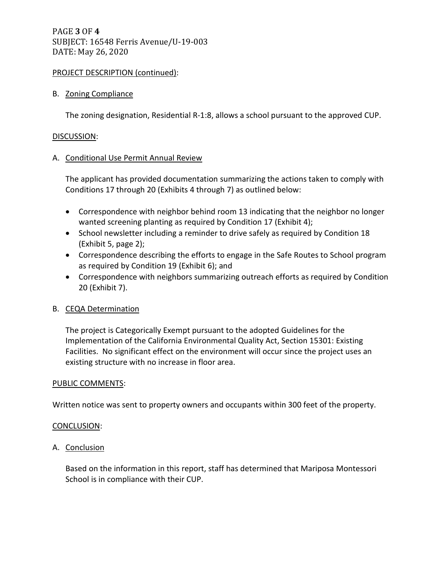# PAGE **3** OF **4** SUBJECT: 16548 Ferris Avenue/U-19-003 DATE: May 26, 2020

## PROJECT DESCRIPTION (continued):

## B. Zoning Compliance

The zoning designation, Residential R-1:8, allows a school pursuant to the approved CUP.

#### DISCUSSION:

## A. Conditional Use Permit Annual Review

The applicant has provided documentation summarizing the actions taken to comply with Conditions 17 through 20 (Exhibits 4 through 7) as outlined below:

- Correspondence with neighbor behind room 13 indicating that the neighbor no longer wanted screening planting as required by Condition 17 (Exhibit 4);
- School newsletter including a reminder to drive safely as required by Condition 18 (Exhibit 5, page 2);
- Correspondence describing the efforts to engage in the Safe Routes to School program as required by Condition 19 (Exhibit 6); and
- Correspondence with neighbors summarizing outreach efforts as required by Condition 20 (Exhibit 7).

## B. CEQA Determination

The project is Categorically Exempt pursuant to the adopted Guidelines for the Implementation of the California Environmental Quality Act, Section 15301: Existing Facilities. No significant effect on the environment will occur since the project uses an existing structure with no increase in floor area.

## PUBLIC COMMENTS:

Written notice was sent to property owners and occupants within 300 feet of the property.

## CONCLUSION:

## A. Conclusion

Based on the information in this report, staff has determined that Mariposa Montessori School is in compliance with their CUP.